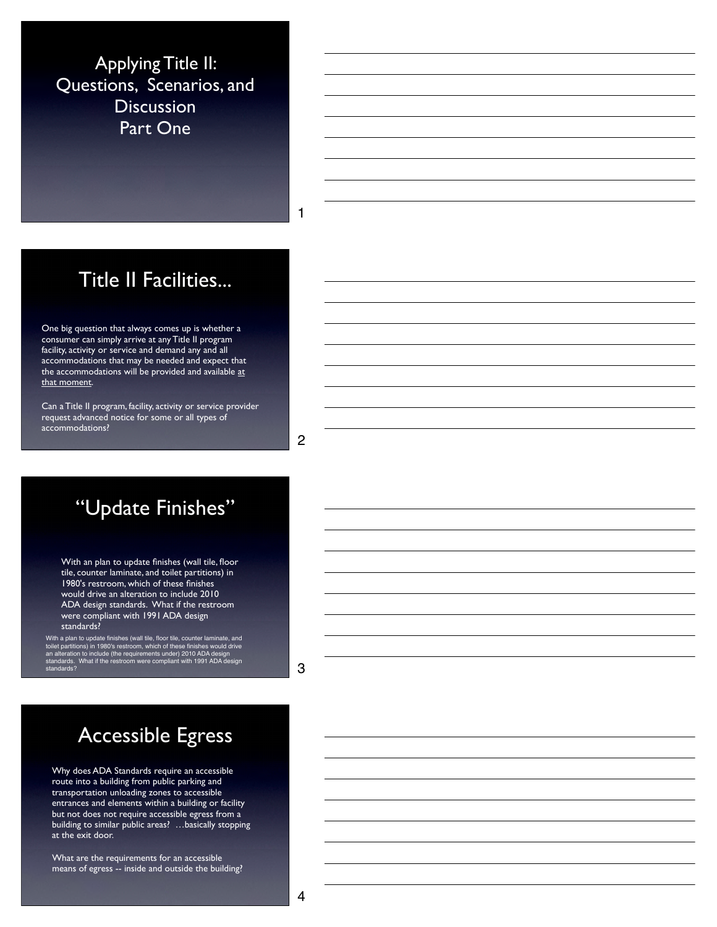Applying Title II: Questions, Scenarios, and **Discussion** Part One

1

### Title II Facilities...

One big question that always comes up is whether a consumer can simply arrive at any Title II program facility, activity or service and demand any and all accommodations that may be needed and expect that the accommodations will be provided and available at that moment.

Can a Title II program, facility, activity or service provider request advanced notice for some or all types of accommodations?

2

# "Update Finishes"

With an plan to update finishes (wall tile, floor tile, counter laminate, and toilet partitions) in 1980's restroom, which of these finishes would drive an alteration to include 2010 ADA design standards. What if the restroom were compliant with 1991 ADA design standards?

With a plan to update finishes (wall tile, floor tile, counter laminate, and<br>toilet partitions) in 1980's restroom, which of these finishes would drive<br>an alteration to include (the requirements under) 2010 ADA design<br>stan standards?

3

# Accessible Egress

Why does ADA Standards require an accessible route into a building from public parking and transportation unloading zones to accessible entrances and elements within a building or facility but not does not require accessible egress from a building to similar public areas? …basically stopping at the exit door.

What are the requirements for an accessible means of egress -- inside and outside the building?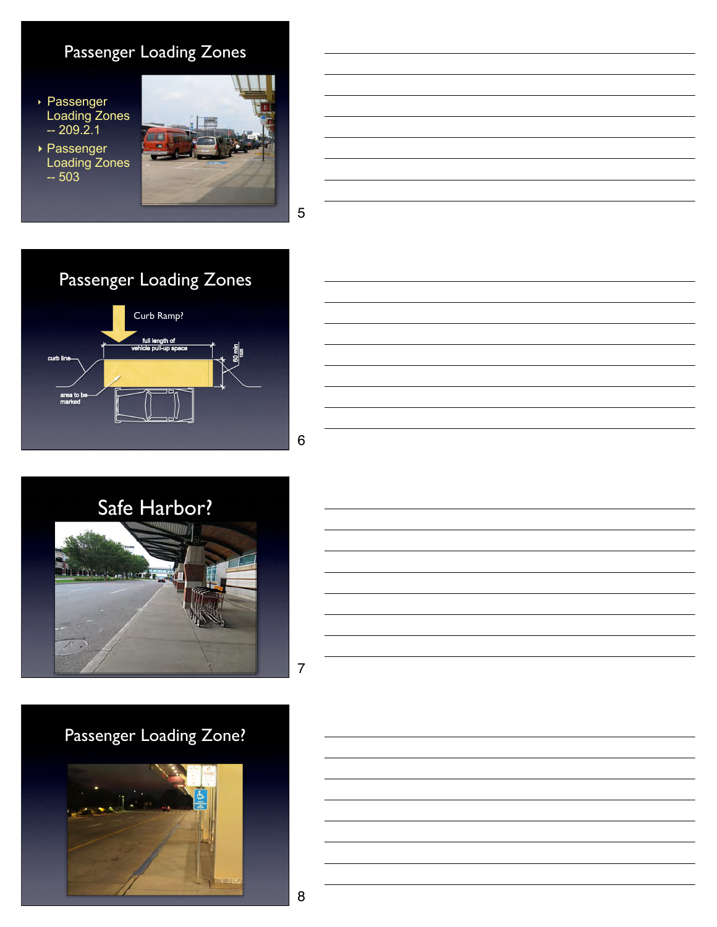### Passenger Loading Zones

‣ Passenger Loading Zones -- 209.2.1

‣ Passenger Loading Zones -- 503





5







7

# Passenger Loading Zone?

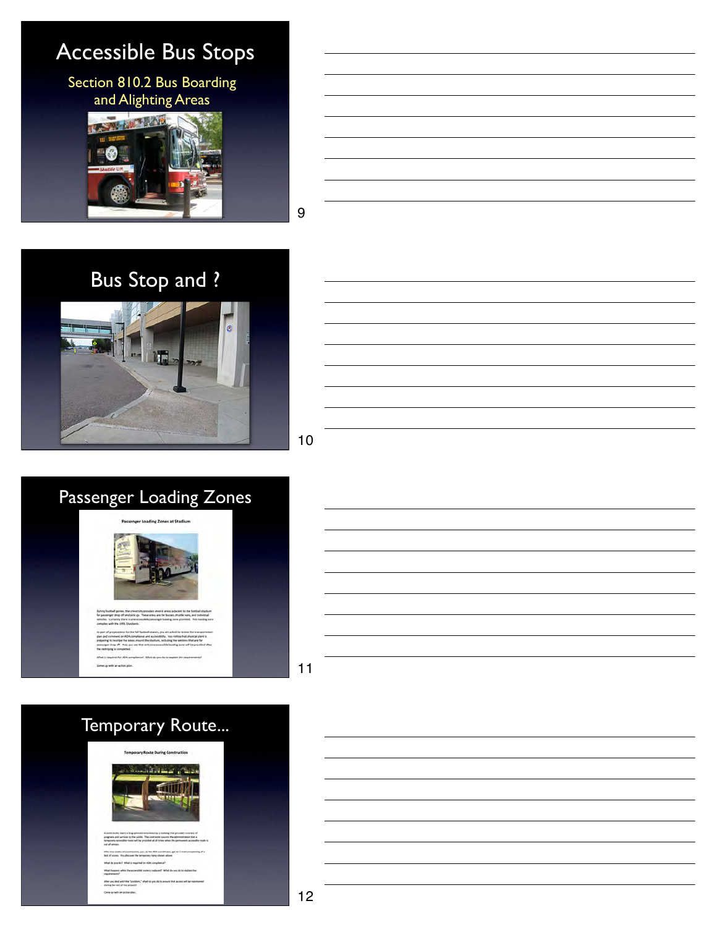# Accessible Bus Stops

Section 810.2 Bus Boarding and Alighting Areas



9









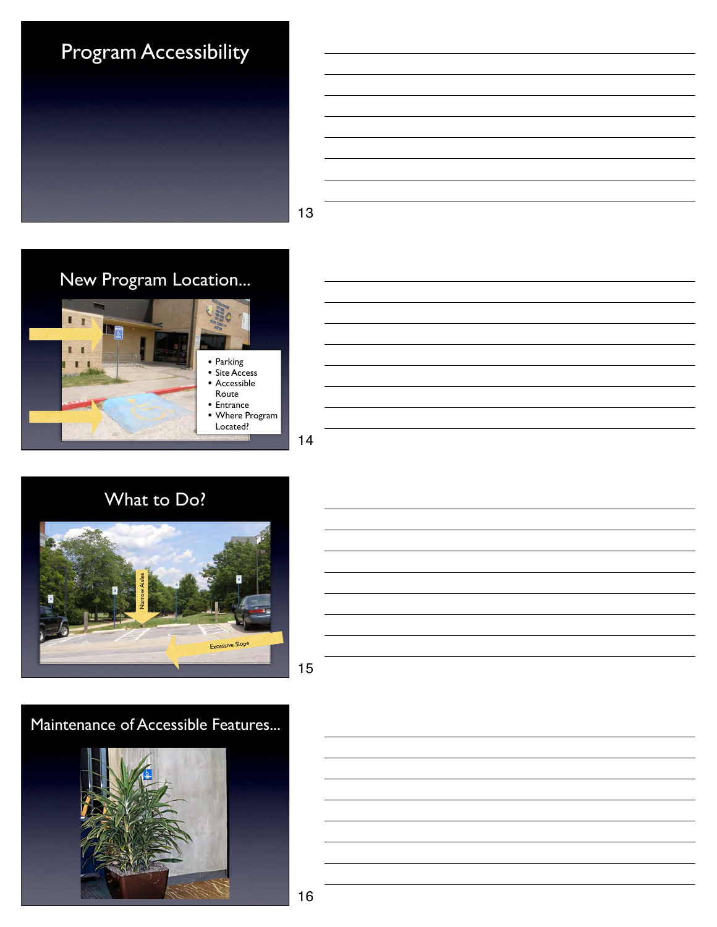

| ⌒ |  |  |  |
|---|--|--|--|











#### Maintenance of Accessible Features...

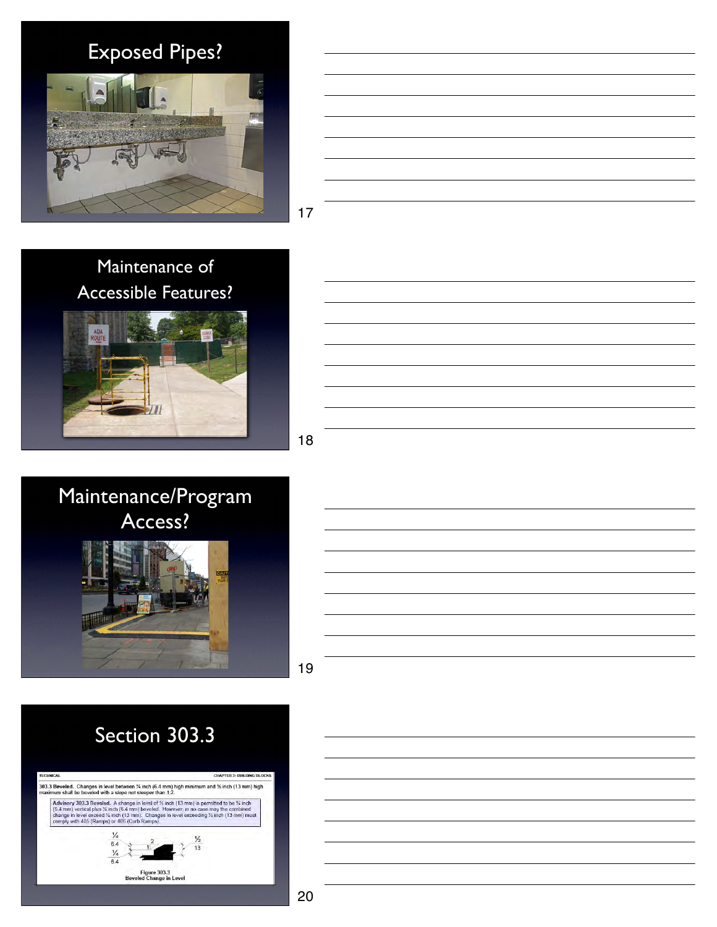Exposed Pipes?





17